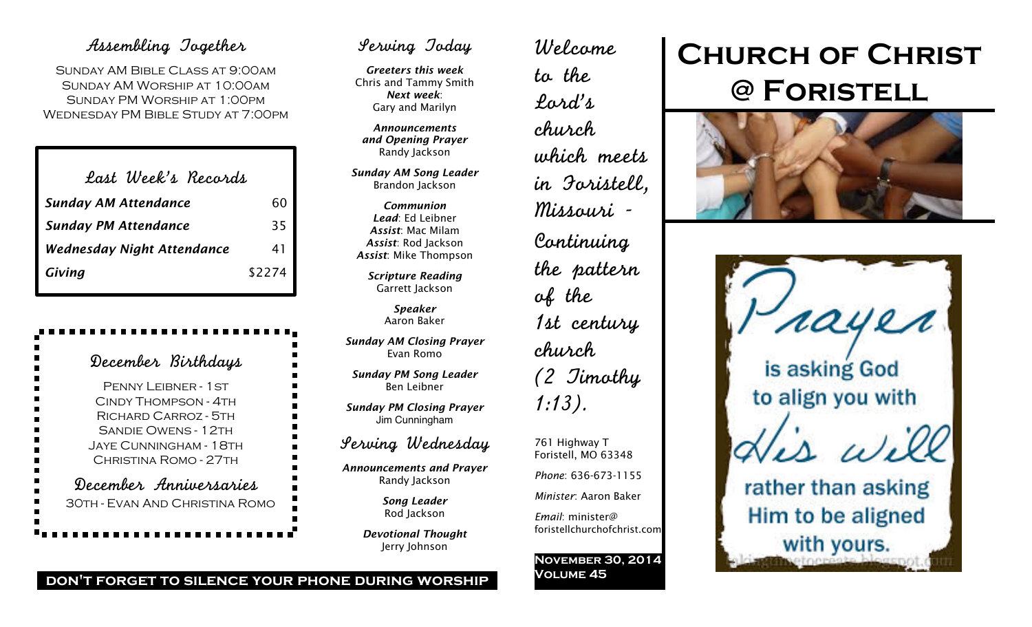## Assembling Together

Sunday AM Bible Class at 9:00am Sunday AM Worship at 10:00am Sunday PM Worship at 1:00pm Wednesday PM Bible Study at 7:00pm

| Last Week's Records               |        |
|-----------------------------------|--------|
| <b>Sunday AM Attendance</b>       | 60     |
| <b>Sunday PM Attendance</b>       | 35     |
| <b>Wednesday Night Attendance</b> | 41     |
| Giving                            | \$2274 |

| December Birthdays<br>■                                                                                          |
|------------------------------------------------------------------------------------------------------------------|
| E<br>$\blacksquare$<br>PENNY LEIBNER - 1 ST                                                                      |
| $\overline{\phantom{a}}$<br>CINDY THOMPSON - 4TH                                                                 |
| RICHARD CARROZ - 5TH<br>$\blacksquare$                                                                           |
| $\blacksquare$<br><b>SANDIE OWENS - 12TH</b>                                                                     |
| $\blacksquare$<br>Jaye Cunningham - 18th                                                                         |
| $\frac{1}{1}$<br>CHRISTINA ROMO - 27TH                                                                           |
| $\overline{\phantom{a}}$<br>December Anniversaries<br>$\overline{\phantom{a}}$<br>30TH - EVAN AND CHRISTINA ROMO |
|                                                                                                                  |

## Serving Today

*Greeters this week* Chris and Tammy Smith *Next week*: Gary and Marilyn

*Announcements and Opening Prayer* Randy Jackson

*Sunday AM Song Leader* Brandon Jackson

*Communion Lead*: Ed Leibner *Assist*: Mac Milam *Assist*: Rod Jackson *Assist*: Mike Thompson

*Scripture Reading* Garrett Jackson

> *Speaker* Aaron Baker

*Sunday AM Closing Prayer* Evan Romo

*Sunday PM Song Leader* Ben Leibner

*Sunday PM Closing Prayer* Jim Cunningham

### Serving Wednesday

*Announcements and Prayer* Randy Jackson

> *Song Leader* Rod Jackson

*Devotional Thought* Jerry Johnson

Welcome to the Lord's church which meets in Foristell, Missouri - Continuing the pattern of the 1st century church (2 Timothy 1:13).

761 Highway T Foristell, MO 63348 *Phone*: 636-673-1155 *Minister*: Aaron Baker

*Email*: minister@ foristellchurchofchrist.com

**November 30, 2014 Volume 45**

# **Church of Christ @ Foristell**





**don't forget to silence your phone during worship**